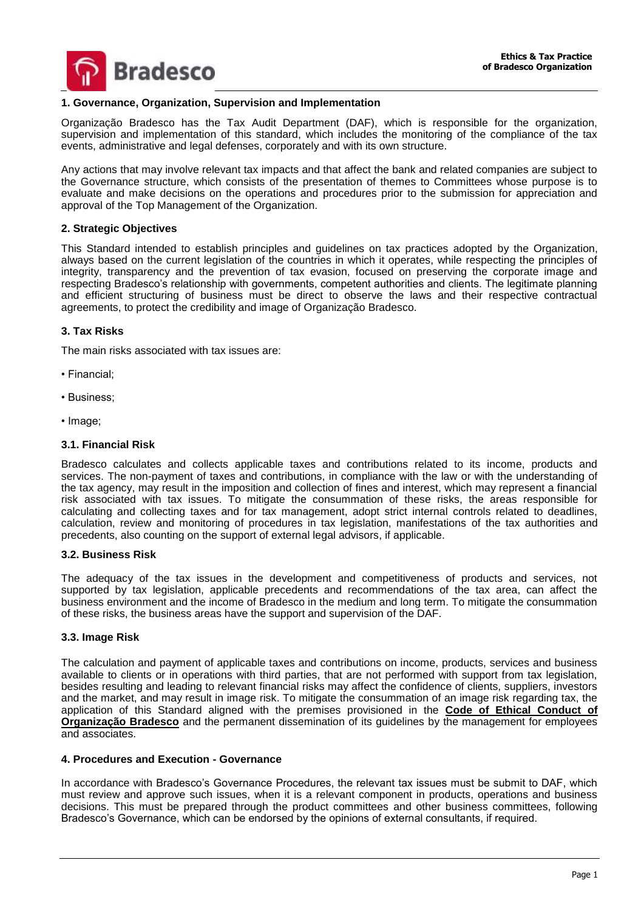

## **1. Governance, Organization, Supervision and Implementation**

Organização Bradesco has the Tax Audit Department (DAF), which is responsible for the organization, supervision and implementation of this standard, which includes the monitoring of the compliance of the tax events, administrative and legal defenses, corporately and with its own structure.

Any actions that may involve relevant tax impacts and that affect the bank and related companies are subject to the Governance structure, which consists of the presentation of themes to Committees whose purpose is to evaluate and make decisions on the operations and procedures prior to the submission for appreciation and approval of the Top Management of the Organization.

### **2. Strategic Objectives**

This Standard intended to establish principles and guidelines on tax practices adopted by the Organization, always based on the current legislation of the countries in which it operates, while respecting the principles of integrity, transparency and the prevention of tax evasion, focused on preserving the corporate image and respecting Bradesco's relationship with governments, competent authorities and clients. The legitimate planning and efficient structuring of business must be direct to observe the laws and their respective contractual agreements, to protect the credibility and image of Organização Bradesco.

## **3. Tax Risks**

The main risks associated with tax issues are:

- Financial;
- Business;
- Image;

# **3.1. Financial Risk**

Bradesco calculates and collects applicable taxes and contributions related to its income, products and services. The non-payment of taxes and contributions, in compliance with the law or with the understanding of the tax agency, may result in the imposition and collection of fines and interest, which may represent a financial risk associated with tax issues. To mitigate the consummation of these risks, the areas responsible for calculating and collecting taxes and for tax management, adopt strict internal controls related to deadlines, calculation, review and monitoring of procedures in tax legislation, manifestations of the tax authorities and precedents, also counting on the support of external legal advisors, if applicable.

### **3.2. Business Risk**

The adequacy of the tax issues in the development and competitiveness of products and services, not supported by tax legislation, applicable precedents and recommendations of the tax area, can affect the business environment and the income of Bradesco in the medium and long term. To mitigate the consummation of these risks, the business areas have the support and supervision of the DAF.

# **3.3. Image Risk**

The calculation and payment of applicable taxes and contributions on income, products, services and business available to clients or in operations with third parties, that are not performed with support from tax legislation, besides resulting and leading to relevant financial risks may affect the confidence of clients, suppliers, investors and the market, and may result in image risk. To mitigate the consummation of an image risk regarding tax, the application of this Standard aligned with the premises provisioned in the **Code of Ethical Conduct of**  Organização Bradesco and the permanent dissemination of its guidelines by the management for employees and associates.

## **4. Procedures and Execution - Governance**

In accordance with Bradesco's Governance Procedures, the relevant tax issues must be submit to DAF, which must review and approve such issues, when it is a relevant component in products, operations and business decisions. This must be prepared through the product committees and other business committees, following Bradesco's Governance, which can be endorsed by the opinions of external consultants, if required.